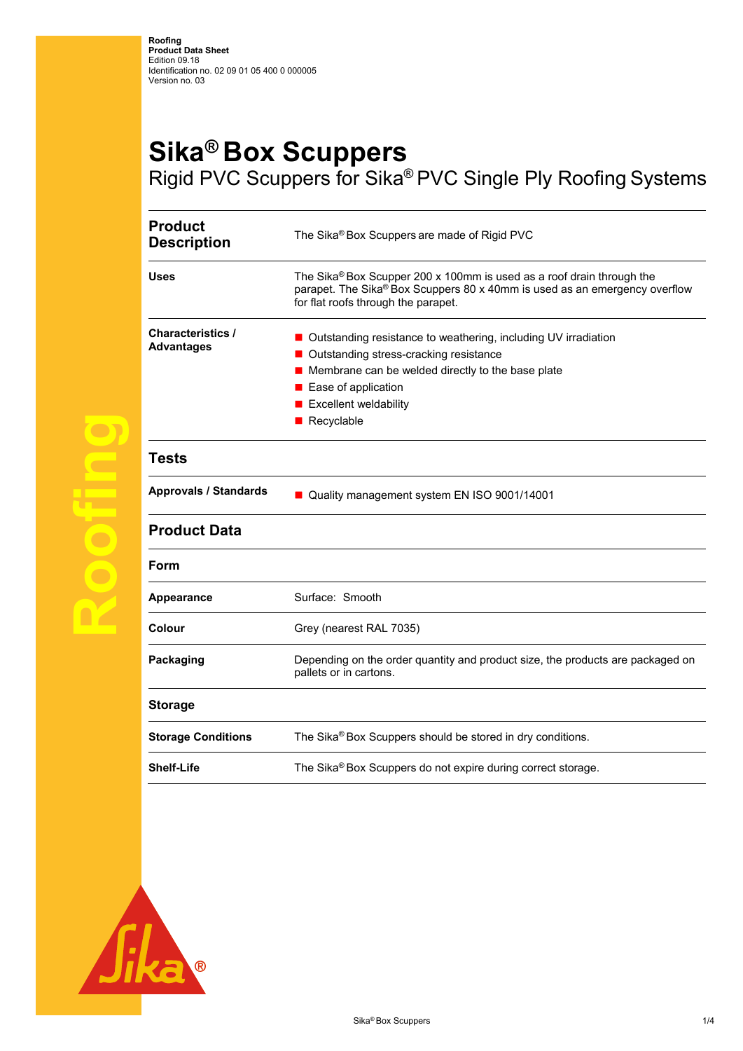## **Sika® Box Scuppers**  Rigid PVC Scuppers for Sika® PVC Single Ply Roofing Systems

**Product**  The Sika<sup>®</sup> Box Scuppers are made of Rigid PVC **Uses** The Sika® Box Scupper 200 x 100mm is used as a roof drain through the parapet. The Sika® Box Scuppers 80 x 40mm is used as an emergency overflow for flat roofs through the parapet. **Characteristics / Advantages**  ■ Outstanding resistance to weathering, including UV irradiation ■ Outstanding stress-cracking resistance Membrane can be welded directly to the base plate **Ease of application**  $\blacksquare$  Excellent weldability Recyclable **Tests Approvals / Standards a** Quality management system EN ISO 9001/14001 **Product Data Form**  Appearance **Surface:** Smooth **Colour** Grey (nearest RAL 7035) **Packaging Depending on the order quantity and product size, the products are packaged on** pallets or in cartons. **Storage Storage Conditions** The Sika® Box Scuppers should be stored in dry conditions. **Shelf-Life** The Sika<sup>®</sup> Box Scuppers do not expire during correct storage.



**Roofing**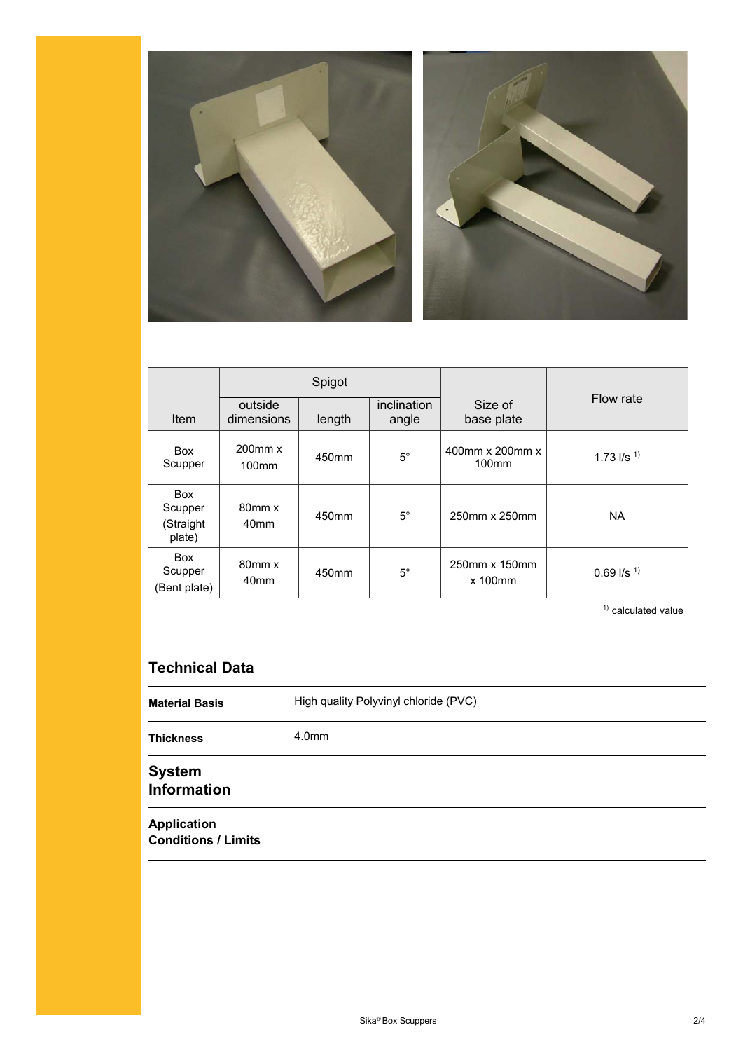

|                                              | Spigot                          |        |                      |                               |                          |
|----------------------------------------------|---------------------------------|--------|----------------------|-------------------------------|--------------------------|
| Item                                         | outside<br>dimensions           | length | inclination<br>angle | Size of<br>base plate         | Flow rate                |
| <b>Box</b><br>Scupper                        | $200$ mm $x$<br>$100$ mm        | 450mm  | $5^{\circ}$          | 400mm x 200mm x<br>$100$ mm   | 1.73 $I/s$ <sup>1)</sup> |
| <b>Box</b><br>Scupper<br>(Straight<br>plate) | $80$ mm $x$<br>40 <sub>mm</sub> | 450mm  | $5^{\circ}$          | 250mm x 250mm                 | <b>NA</b>                |
| Box<br>Scupper<br>(Bent plate)               | $80$ mm $x$<br>40 <sub>mm</sub> | 450mm  | $5^\circ$            | 250mm x 150mm<br>$x$ 100 $mm$ | $0.69$ I/s <sup>1)</sup> |

 $1)$  calculated value

## **Technical Data**

**Material Basis** High quality Polyvinyl chloride (PVC) **Thickness** 4.0mm **System** 

## **Information**

**Application Conditions / Limits**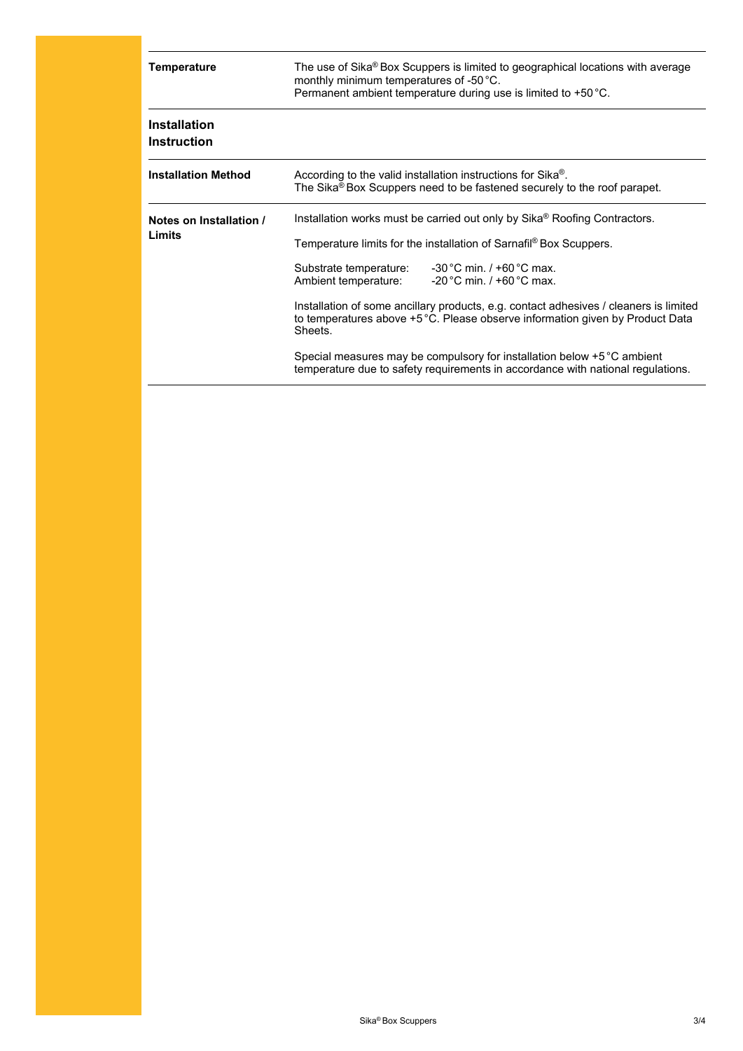| <b>Temperature</b>                        | The use of Sika® Box Scuppers is limited to geographical locations with average<br>monthly minimum temperatures of -50 °C.<br>Permanent ambient temperature during use is limited to +50 °C.                                                                                                                                                                                                                                                                                                                                                                                                                                                       |  |  |
|-------------------------------------------|----------------------------------------------------------------------------------------------------------------------------------------------------------------------------------------------------------------------------------------------------------------------------------------------------------------------------------------------------------------------------------------------------------------------------------------------------------------------------------------------------------------------------------------------------------------------------------------------------------------------------------------------------|--|--|
| <b>Installation</b><br><b>Instruction</b> |                                                                                                                                                                                                                                                                                                                                                                                                                                                                                                                                                                                                                                                    |  |  |
| <b>Installation Method</b>                | According to the valid installation instructions for Sika <sup>®</sup> .<br>The Sika® Box Scuppers need to be fastened securely to the roof parapet.                                                                                                                                                                                                                                                                                                                                                                                                                                                                                               |  |  |
| Notes on Installation /<br>Limits         | Installation works must be carried out only by Sika® Roofing Contractors.<br>Temperature limits for the installation of Sarnafil <sup>®</sup> Box Scuppers.<br>Substrate temperature: -30 °C min. / +60 °C max.<br>Ambient temperature:<br>$-20^{\circ}$ C min. / +60 $^{\circ}$ C max.<br>Installation of some ancillary products, e.g. contact adhesives / cleaners is limited<br>to temperatures above +5 °C. Please observe information given by Product Data<br>Sheets.<br>Special measures may be compulsory for installation below $+5\degree C$ ambient<br>temperature due to safety requirements in accordance with national regulations. |  |  |